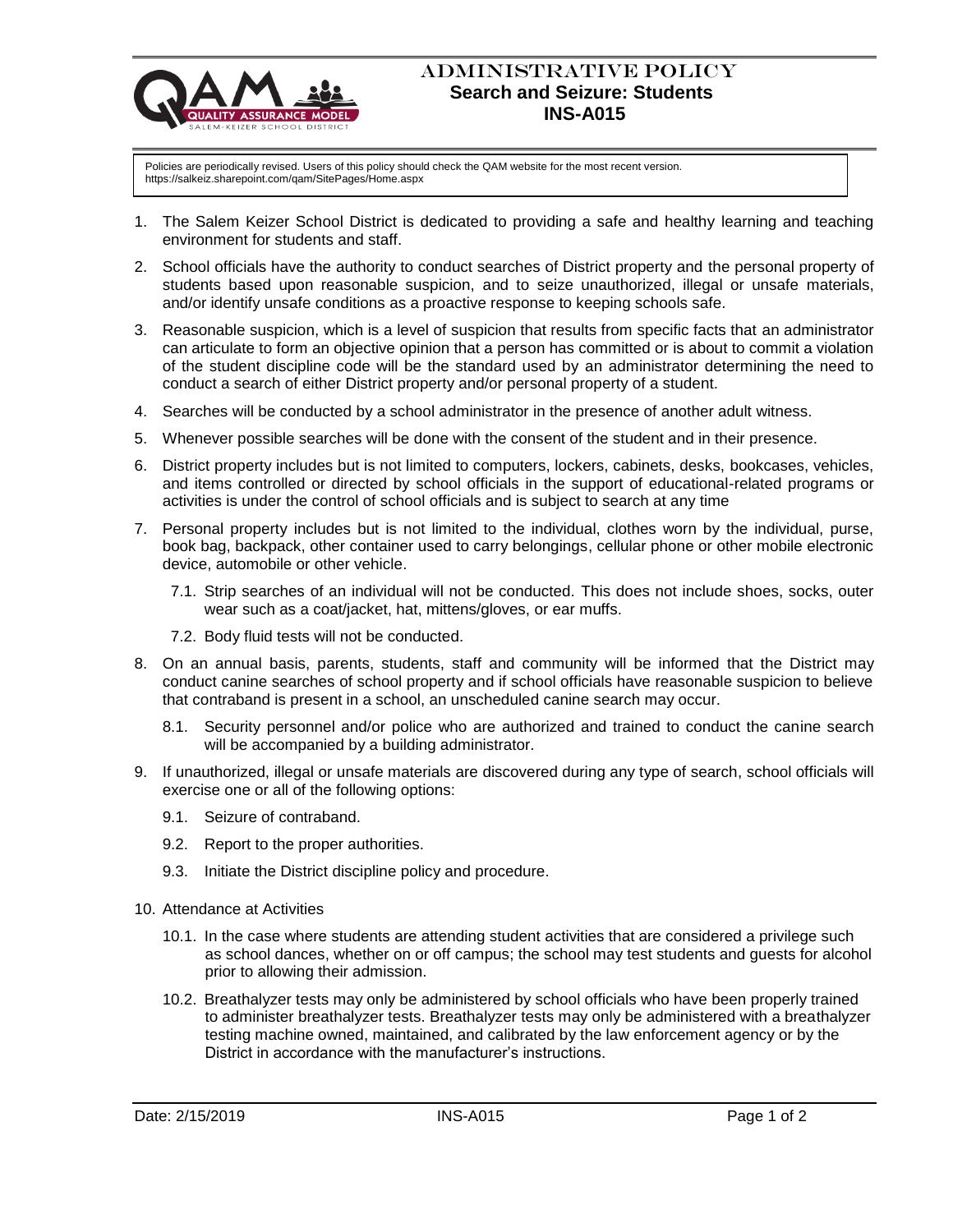

## ADMINISTRATIVE POLICY  **Search and Seizure: Students INS-A015**

Policies are periodically revised. Users of this policy should check the QAM website for the most recent version. https://salkeiz.sharepoint.com/qam/SitePages/Home.aspx

- 1. The Salem Keizer School District is dedicated to providing a safe and healthy learning and teaching environment for students and staff.
- 2. School officials have the authority to conduct searches of District property and the personal property of students based upon reasonable suspicion, and to seize unauthorized, illegal or unsafe materials, and/or identify unsafe conditions as a proactive response to keeping schools safe.
- 3. Reasonable suspicion, which is a level of suspicion that results from specific facts that an administrator can articulate to form an objective opinion that a person has committed or is about to commit a violation of the student discipline code will be the standard used by an administrator determining the need to conduct a search of either District property and/or personal property of a student.
- 4. Searches will be conducted by a school administrator in the presence of another adult witness.
- 5. Whenever possible searches will be done with the consent of the student and in their presence.
- 6. District property includes but is not limited to computers, lockers, cabinets, desks, bookcases, vehicles, and items controlled or directed by school officials in the support of educational-related programs or activities is under the control of school officials and is subject to search at any time
- 7. Personal property includes but is not limited to the individual, clothes worn by the individual, purse, book bag, backpack, other container used to carry belongings, cellular phone or other mobile electronic device, automobile or other vehicle.
	- 7.1. Strip searches of an individual will not be conducted. This does not include shoes, socks, outer wear such as a coat/jacket, hat, mittens/gloves, or ear muffs.
	- 7.2. Body fluid tests will not be conducted.
- 8. On an annual basis, parents, students, staff and community will be informed that the District may conduct canine searches of school property and if school officials have reasonable suspicion to believe that contraband is present in a school, an unscheduled canine search may occur.
	- 8.1. Security personnel and/or police who are authorized and trained to conduct the canine search will be accompanied by a building administrator.
- 9. If unauthorized, illegal or unsafe materials are discovered during any type of search, school officials will exercise one or all of the following options:
	- 9.1. Seizure of contraband.
	- 9.2. Report to the proper authorities.
	- 9.3. Initiate the District discipline policy and procedure.
- 10. Attendance at Activities
	- 10.1. In the case where students are attending student activities that are considered a privilege such as school dances, whether on or off campus; the school may test students and guests for alcohol prior to allowing their admission.
	- 10.2. Breathalyzer tests may only be administered by school officials who have been properly trained to administer breathalyzer tests. Breathalyzer tests may only be administered with a breathalyzer testing machine owned, maintained, and calibrated by the law enforcement agency or by the District in accordance with the manufacturer's instructions.